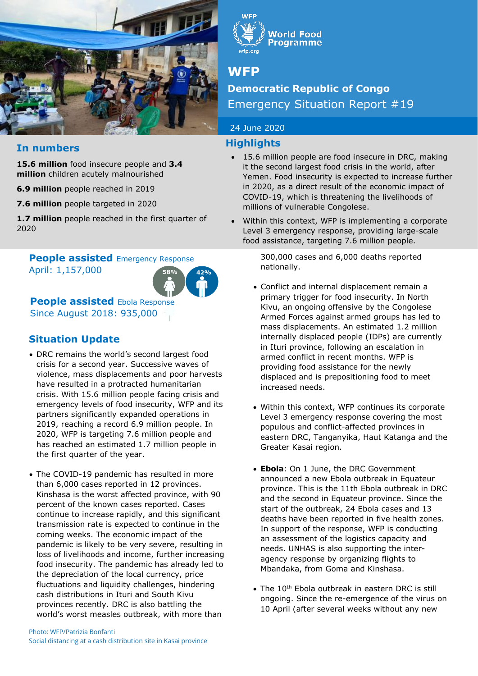

## **In numbers**

**15.6 million** food insecure people and **3.4 million** children acutely malnourished

**6.9 million** people reached in 2019

**7.6 million** people targeted in 2020

**1.7 million** people reached in the first quarter of 2020

#### April: 1,157,000 **People assisted Emergency Response**



**People assisted Ebola Response** Since August 2018: 935,000

## **Situation Update**

- DRC remains the world's second largest food crisis for a second year. Successive waves of violence, mass displacements and poor harvests have resulted in a protracted humanitarian crisis. With 15.6 million people facing crisis and emergency levels of food insecurity, WFP and its partners significantly expanded operations in 2019, reaching a record 6.9 million people. In 2020, WFP is targeting 7.6 million people and has reached an estimated 1.7 million people in the first quarter of the year.
- The COVID-19 pandemic has resulted in more than 6,000 cases reported in 12 provinces. Kinshasa is the worst affected province, with 90 percent of the known cases reported. Cases continue to increase rapidly, and this significant transmission rate is expected to continue in the coming weeks. The economic impact of the pandemic is likely to be very severe, resulting in loss of livelihoods and income, further increasing food insecurity. The pandemic has already led to the depreciation of the local currency, price fluctuations and liquidity challenges, hindering cash distributions in Ituri and South Kivu provinces recently. DRC is also battling the world's worst measles outbreak, with more than



**Norld Food Programme** 

# **WFP**

# **Democratic Republic of Congo**  Emergency Situation Report #19

### 24 June 2020

### **Highlights**

- 15.6 million people are food insecure in DRC, making it the second largest food crisis in the world, after Yemen. Food insecurity is expected to increase further in 2020, as a direct result of the economic impact of COVID-19, which is threatening the livelihoods of millions of vulnerable Congolese.
- Within this context, WFP is implementing a corporate Level 3 emergency response, providing large-scale food assistance, targeting 7.6 million people.

300,000 cases and 6,000 deaths reported nationally.

- Conflict and internal displacement remain a primary trigger for food insecurity. In North Kivu, an ongoing offensive by the Congolese Armed Forces against armed groups has led to mass displacements. An estimated 1.2 million internally displaced people (IDPs) are currently in Ituri province, following an escalation in armed conflict in recent months. WFP is providing food assistance for the newly displaced and is prepositioning food to meet increased needs.
- Within this context, WFP continues its corporate Level 3 emergency response covering the most populous and conflict-affected provinces in eastern DRC, Tanganyika, Haut Katanga and the Greater Kasai region.
- **Ebola**: On 1 June, the DRC Government announced a new Ebola outbreak in Equateur province. This is the 11th Ebola outbreak in DRC and the second in Equateur province. Since the start of the outbreak, 24 Ebola cases and 13 deaths have been reported in five health zones. In support of the response, WFP is conducting an assessment of the logistics capacity and needs. UNHAS is also supporting the interagency response by organizing flights to Mbandaka, from Goma and Kinshasa.
- The 10<sup>th</sup> Ebola outbreak in eastern DRC is still ongoing. Since the re-emergence of the virus on 10 April (after several weeks without any new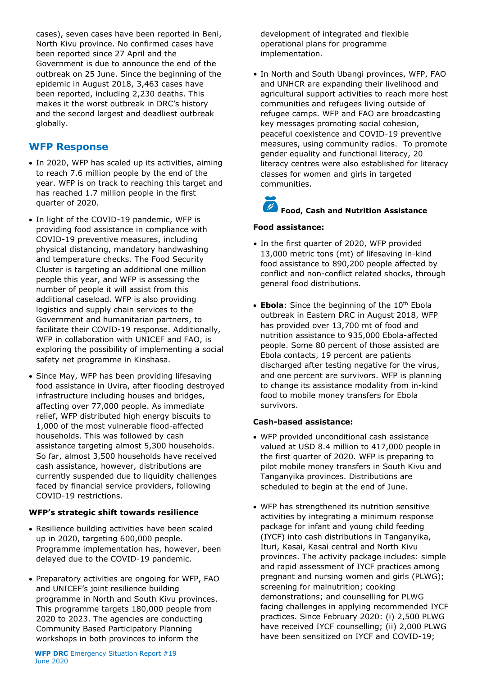cases), seven cases have been reported in Beni, North Kivu province. No confirmed cases have been reported since 27 April and the Government is due to announce the end of the outbreak on 25 June. Since the beginning of the epidemic in August 2018, 3,463 cases have been reported, including 2,230 deaths. This makes it the worst outbreak in DRC's history and the second largest and deadliest outbreak globally.

## **WFP Response**

- In 2020, WFP has scaled up its activities, aiming to reach 7.6 million people by the end of the year. WFP is on track to reaching this target and has reached 1.7 million people in the first quarter of 2020.
- In light of the COVID-19 pandemic, WFP is providing food assistance in compliance with COVID-19 preventive measures, including physical distancing, mandatory handwashing and temperature checks. The Food Security Cluster is targeting an additional one million people this year, and WFP is assessing the number of people it will assist from this additional caseload. WFP is also providing logistics and supply chain services to the Government and humanitarian partners, to facilitate their COVID-19 response. Additionally, WFP in collaboration with UNICEF and FAO, is exploring the possibility of implementing a social safety net programme in Kinshasa.
- Since May, WFP has been providing lifesaving food assistance in Uvira, after flooding destroyed infrastructure including houses and bridges, affecting over 77,000 people. As immediate relief, WFP distributed high energy biscuits to 1,000 of the most vulnerable flood-affected households. This was followed by cash assistance targeting almost 5,300 households. So far, almost 3,500 households have received cash assistance, however, distributions are currently suspended due to liquidity challenges faced by financial service providers, following COVID-19 restrictions.

#### **WFP's strategic shift towards resilience**

- Resilience building activities have been scaled up in 2020, targeting 600,000 people. Programme implementation has, however, been delayed due to the COVID-19 pandemic.
- Preparatory activities are ongoing for WFP, FAO and UNICEF's joint resilience building programme in North and South Kivu provinces. This programme targets 180,000 people from 2020 to 2023. The agencies are conducting Community Based Participatory Planning workshops in both provinces to inform the

development of integrated and flexible operational plans for programme implementation.

• In North and South Ubangi provinces, WFP, FAO and UNHCR are expanding their livelihood and agricultural support activities to reach more host communities and refugees living outside of refugee camps. WFP and FAO are broadcasting key messages promoting social cohesion, peaceful coexistence and COVID-19 preventive measures, using community radios. To promote gender equality and functional literacy, 20 literacy centres were also established for literacy classes for women and girls in targeted communities.

# **Food, Cash and Nutrition Assistance**

#### **Food assistance:**

- In the first quarter of 2020, WFP provided 13,000 metric tons (mt) of lifesaving in-kind food assistance to 890,200 people affected by conflict and non-conflict related shocks, through general food distributions.
- **Ebola**: Since the beginning of the 10<sup>th</sup> Ebola outbreak in Eastern DRC in August 2018, WFP has provided over 13,700 mt of food and nutrition assistance to 935,000 Ebola-affected people. Some 80 percent of those assisted are Ebola contacts, 19 percent are patients discharged after testing negative for the virus, and one percent are survivors. WFP is planning to change its assistance modality from in-kind food to mobile money transfers for Ebola survivors.

#### **Cash-based assistance:**

- WFP provided unconditional cash assistance valued at USD 8.4 million to 417,000 people in the first quarter of 2020. WFP is preparing to pilot mobile money transfers in South Kivu and Tanganyika provinces. Distributions are scheduled to begin at the end of June.
- WFP has strengthened its nutrition sensitive activities by integrating a minimum response package for infant and young child feeding (IYCF) into cash distributions in Tanganyika, Ituri, Kasai, Kasai central and North Kivu provinces. The activity package includes: simple and rapid assessment of IYCF practices among pregnant and nursing women and girls (PLWG); screening for malnutrition; cooking demonstrations; and counselling for PLWG facing challenges in applying recommended IYCF practices. Since February 2020: (i) 2,500 PLWG have received IYCF counselling; (ii) 2,000 PLWG have been sensitized on IYCF and COVID-19;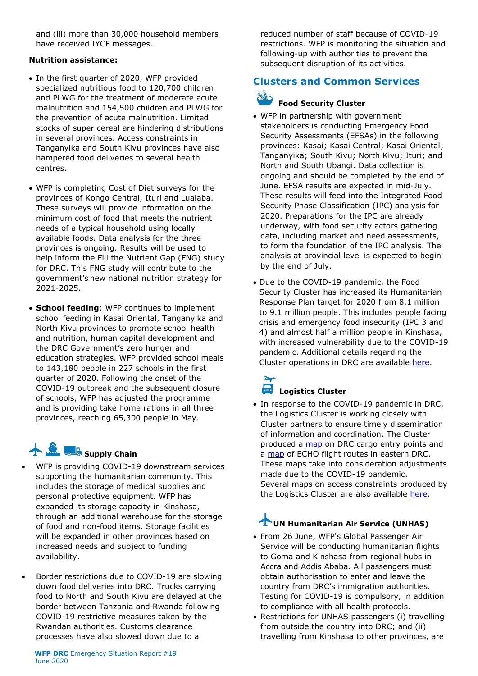and (iii) more than 30,000 household members have received IYCF messages.

#### **Nutrition assistance:**

- In the first quarter of 2020, WFP provided specialized nutritious food to 120,700 children and PLWG for the treatment of moderate acute malnutrition and 154,500 children and PLWG for the prevention of acute malnutrition. Limited stocks of super cereal are hindering distributions in several provinces. Access constraints in Tanganyika and South Kivu provinces have also hampered food deliveries to several health centres.
- WFP is completing Cost of Diet surveys for the provinces of Kongo Central, Ituri and Lualaba. These surveys will provide information on the minimum cost of food that meets the nutrient needs of a typical household using locally available foods. Data analysis for the three provinces is ongoing. Results will be used to help inform the Fill the Nutrient Gap (FNG) study for DRC. This FNG study will contribute to the government's new national nutrition strategy for 2021-2025.
- **School feeding**: WFP continues to implement school feeding in Kasai Oriental, Tanganyika and North Kivu provinces to promote school health and nutrition, human capital development and the DRC Government's zero hunger and education strategies. WFP provided school meals to 143,180 people in 227 schools in the first quarter of 2020. Following the onset of the COVID-19 outbreak and the subsequent closure of schools, WFP has adjusted the programme and is providing take home rations in all three provinces, reaching 65,300 people in May.

# **Supply Chain**

- WFP is providing COVID-19 downstream services supporting the humanitarian community. This includes the storage of medical supplies and personal protective equipment. WFP has expanded its storage capacity in Kinshasa, through an additional warehouse for the storage of food and non-food items. Storage facilities will be expanded in other provinces based on increased needs and subject to funding availability.
- Border restrictions due to COVID-19 are slowing down food deliveries into DRC. Trucks carrying food to North and South Kivu are delayed at the border between Tanzania and Rwanda following COVID-19 restrictive measures taken by the Rwandan authorities. Customs clearance processes have also slowed down due to a

reduced number of staff because of COVID-19 restrictions. WFP is monitoring the situation and following-up with authorities to prevent the subsequent disruption of its activities.

# **Clusters and Common Services**

# **Food Security Cluster**

- WFP in partnership with government stakeholders is conducting Emergency Food Security Assessments (EFSAs) in the following provinces: Kasai; Kasai Central; Kasai Oriental; Tanganyika; South Kivu; North Kivu; Ituri; and North and South Ubangi. Data collection is ongoing and should be completed by the end of June. EFSA results are expected in mid-July. These results will feed into the Integrated Food Security Phase Classification (IPC) analysis for 2020. Preparations for the IPC are already underway, with food security actors gathering data, including market and need assessments, to form the foundation of the IPC analysis. The analysis at provincial level is expected to begin by the end of July.
- Due to the COVID-19 pandemic, the Food Security Cluster has increased its Humanitarian Response Plan target for 2020 from 8.1 million to 9.1 million people. This includes people facing crisis and emergency food insecurity (IPC 3 and 4) and almost half a million people in Kinshasa, with increased vulnerability due to the COVID-19 pandemic. Additional details regarding the Cluster operations in DRC are available [here.](https://fscluster.org/democratic-republic-congo)

# **Logistics Cluster**

• In response to the COVID-19 pandemic in DRC, the Logistics Cluster is working closely with Cluster partners to ensure timely dissemination of information and coordination. The Cluster produced a [map](https://eur03.safelinks.protection.outlook.com/?url=https%3A%2F%2Flogcluster.org%2Fsites%2Fdefault%2Ffiles%2Fmaps%2Fcod_op_mainentrypoint2country_fr_a3l_20200519.pdf&data=02%7C01%7Ctafadzwa.chiposi%40wfp.org%7C5700229abc8345833c6808d80863866f%7C462ad9aed7d94206b87471b1e079776f%7C0%7C0%7C637268570836894282&sdata=Z2ryAcONAP3iLoTb%2B4OxATw0aDXs5GCk2mglZym7xNA%3D&reserved=0) on DRC cargo entry points and a [map](https://eur03.safelinks.protection.outlook.com/?url=https%3A%2F%2Flogcluster.org%2Fsites%2Fdefault%2Ffiles%2Fmaps%2Fcod_echo_routes_covid-19_a3p_20200510.pdf&data=02%7C01%7Ctafadzwa.chiposi%40wfp.org%7C5700229abc8345833c6808d80863866f%7C462ad9aed7d94206b87471b1e079776f%7C0%7C0%7C637268570836904278&sdata=bnRxRo4maTWiKBmWl%2FGoQBL9sNrDVuPlbeIw154gZSs%3D&reserved=0) of ECHO flight routes in eastern DRC. These maps take into consideration adjustments made due to the COVID-19 pandemic. Several maps on access constraints produced by the Logistics Cluster are also available [here.](https://logcluster.org/ops/drc)

# **UN Humanitarian Air Service (UNHAS)**

- From 26 June, WFP's Global Passenger Air Service will be conducting humanitarian flights to Goma and Kinshasa from regional hubs in Accra and Addis Ababa. All passengers must obtain authorisation to enter and leave the country from DRC's immigration authorities. Testing for COVID-19 is compulsory, in addition to compliance with all health protocols.
- Restrictions for UNHAS passengers (i) travelling from outside the country into DRC; and (ii) travelling from Kinshasa to other provinces, are